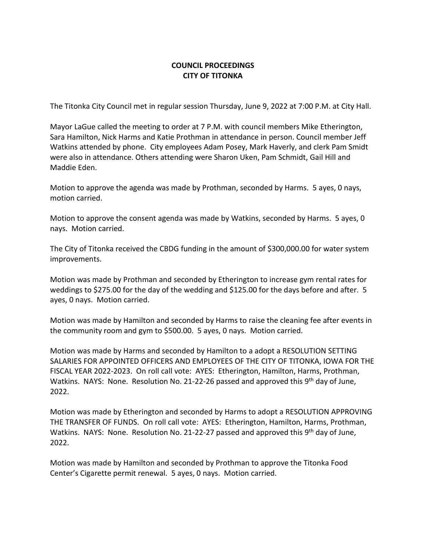## **COUNCIL PROCEEDINGS CITY OF TITONKA**

The Titonka City Council met in regular session Thursday, June 9, 2022 at 7:00 P.M. at City Hall.

Mayor LaGue called the meeting to order at 7 P.M. with council members Mike Etherington, Sara Hamilton, Nick Harms and Katie Prothman in attendance in person. Council member Jeff Watkins attended by phone. City employees Adam Posey, Mark Haverly, and clerk Pam Smidt were also in attendance. Others attending were Sharon Uken, Pam Schmidt, Gail Hill and Maddie Eden.

Motion to approve the agenda was made by Prothman, seconded by Harms. 5 ayes, 0 nays, motion carried.

Motion to approve the consent agenda was made by Watkins, seconded by Harms. 5 ayes, 0 nays. Motion carried.

The City of Titonka received the CBDG funding in the amount of \$300,000.00 for water system improvements.

Motion was made by Prothman and seconded by Etherington to increase gym rental rates for weddings to \$275.00 for the day of the wedding and \$125.00 for the days before and after. 5 ayes, 0 nays. Motion carried.

Motion was made by Hamilton and seconded by Harms to raise the cleaning fee after events in the community room and gym to \$500.00. 5 ayes, 0 nays. Motion carried.

Motion was made by Harms and seconded by Hamilton to a adopt a RESOLUTION SETTING SALARIES FOR APPOINTED OFFICERS AND EMPLOYEES OF THE CITY OF TITONKA, IOWA FOR THE FISCAL YEAR 2022-2023. On roll call vote: AYES: Etherington, Hamilton, Harms, Prothman, Watkins. NAYS: None. Resolution No. 21-22-26 passed and approved this 9<sup>th</sup> day of June, 2022.

Motion was made by Etherington and seconded by Harms to adopt a RESOLUTION APPROVING THE TRANSFER OF FUNDS. On roll call vote: AYES: Etherington, Hamilton, Harms, Prothman, Watkins. NAYS: None. Resolution No. 21-22-27 passed and approved this 9<sup>th</sup> day of June, 2022.

Motion was made by Hamilton and seconded by Prothman to approve the Titonka Food Center's Cigarette permit renewal. 5 ayes, 0 nays. Motion carried.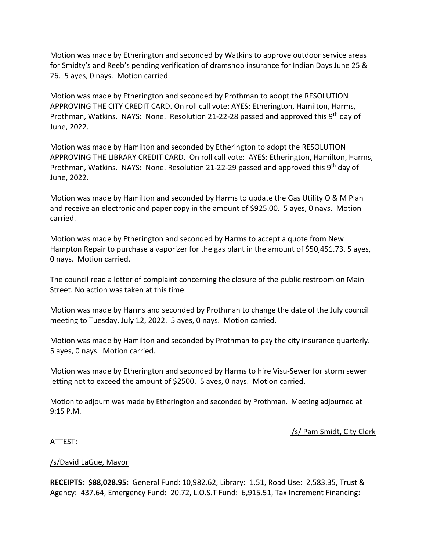Motion was made by Etherington and seconded by Watkins to approve outdoor service areas for Smidty's and Reeb's pending verification of dramshop insurance for Indian Days June 25 & 26. 5 ayes, 0 nays. Motion carried.

Motion was made by Etherington and seconded by Prothman to adopt the RESOLUTION APPROVING THE CITY CREDIT CARD. On roll call vote: AYES: Etherington, Hamilton, Harms, Prothman, Watkins. NAYS: None. Resolution 21-22-28 passed and approved this 9th day of June, 2022.

Motion was made by Hamilton and seconded by Etherington to adopt the RESOLUTION APPROVING THE LIBRARY CREDIT CARD. On roll call vote: AYES: Etherington, Hamilton, Harms, Prothman, Watkins. NAYS: None. Resolution 21-22-29 passed and approved this 9th day of June, 2022.

Motion was made by Hamilton and seconded by Harms to update the Gas Utility O & M Plan and receive an electronic and paper copy in the amount of \$925.00. 5 ayes, 0 nays. Motion carried.

Motion was made by Etherington and seconded by Harms to accept a quote from New Hampton Repair to purchase a vaporizer for the gas plant in the amount of \$50,451.73. 5 ayes, 0 nays. Motion carried.

The council read a letter of complaint concerning the closure of the public restroom on Main Street. No action was taken at this time.

Motion was made by Harms and seconded by Prothman to change the date of the July council meeting to Tuesday, July 12, 2022. 5 ayes, 0 nays. Motion carried.

Motion was made by Hamilton and seconded by Prothman to pay the city insurance quarterly. 5 ayes, 0 nays. Motion carried.

Motion was made by Etherington and seconded by Harms to hire Visu-Sewer for storm sewer jetting not to exceed the amount of \$2500. 5 ayes, 0 nays. Motion carried.

Motion to adjourn was made by Etherington and seconded by Prothman. Meeting adjourned at 9:15 P.M.

## /s/ Pam Smidt, City Clerk

## ATTEST:

## /s/David LaGue, Mayor

**RECEIPTS: \$88,028.95:** General Fund: 10,982.62, Library: 1.51, Road Use: 2,583.35, Trust & Agency: 437.64, Emergency Fund: 20.72, L.O.S.T Fund: 6,915.51, Tax Increment Financing: